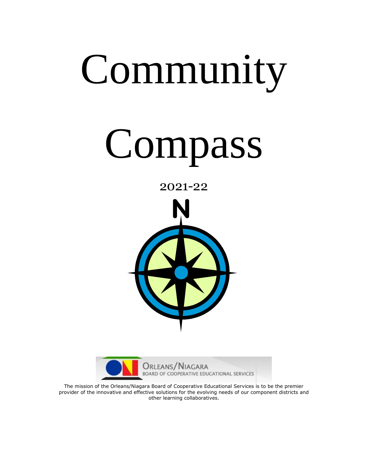# Community

# Compass







The mission of the Orleans/Niagara Board of Cooperative Educational Services is to be the premier provider of the innovative and effective solutions for the evolving needs of our component districts and other learning collaboratives.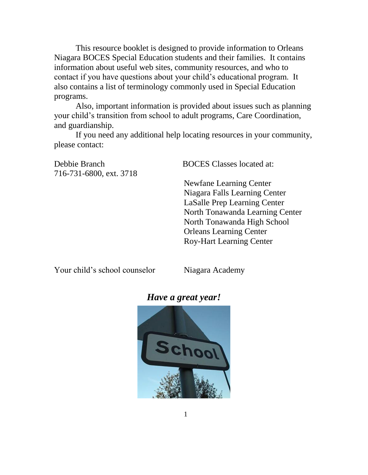This resource booklet is designed to provide information to Orleans Niagara BOCES Special Education students and their families. It contains information about useful web sites, community resources, and who to contact if you have questions about your child's educational program. It also contains a list of terminology commonly used in Special Education programs.

Also, important information is provided about issues such as planning your child's transition from school to adult programs, Care Coordination, and guardianship.

If you need any additional help locating resources in your community, please contact:

Debbie Branch BOCES Classes located at: 716-731-6800, ext. 3718 Newfane Learning Center Niagara Falls Learning Center LaSalle Prep Learning Center North Tonawanda Learning Center North Tonawanda High School Orleans Learning Center

Your child's school counselor Niagara Academy

Roy-Hart Learning Center

#### *Have a great year!*

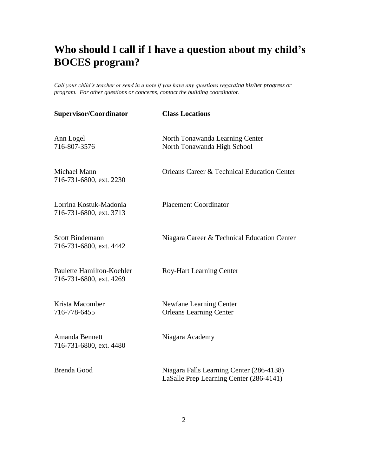## **Who should I call if I have a question about my child's BOCES program?**

*Call your child's teacher or send in a note if you have any questions regarding his/her progress or program. For other questions or concerns, contact the building coordinator.* 

| <b>Class Locations</b>                                                              |
|-------------------------------------------------------------------------------------|
| North Tonawanda Learning Center<br>North Tonawanda High School                      |
| <b>Orleans Career &amp; Technical Education Center</b>                              |
| <b>Placement Coordinator</b>                                                        |
| Niagara Career & Technical Education Center                                         |
| <b>Roy-Hart Learning Center</b>                                                     |
| Newfane Learning Center<br><b>Orleans Learning Center</b>                           |
| Niagara Academy                                                                     |
| Niagara Falls Learning Center (286-4138)<br>LaSalle Prep Learning Center (286-4141) |
|                                                                                     |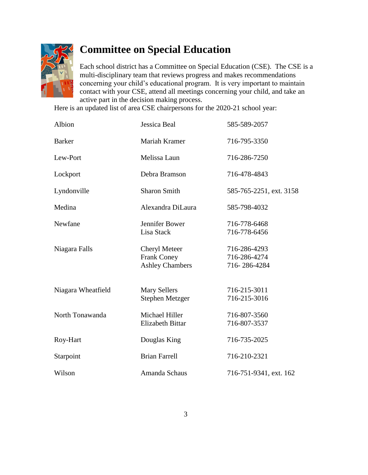

## **Committee on Special Education**

Each school district has a Committee on Special Education (CSE). The CSE is a multi-disciplinary team that reviews progress and makes recommendations concerning your child's educational program. It is very important to maintain contact with your CSE, attend all meetings concerning your child, and take an active part in the decision making process.

Here is an updated list of area CSE chairpersons for the 2020-21 school year:

| Albion             | Jessica Beal                                                         | 585-589-2057                                 |
|--------------------|----------------------------------------------------------------------|----------------------------------------------|
| <b>Barker</b>      | Mariah Kramer                                                        | 716-795-3350                                 |
| Lew-Port           | Melissa Laun                                                         | 716-286-7250                                 |
| Lockport           | Debra Bramson                                                        | 716-478-4843                                 |
| Lyndonville        | <b>Sharon Smith</b>                                                  | 585-765-2251, ext. 3158                      |
| Medina             | Alexandra DiLaura                                                    | 585-798-4032                                 |
| Newfane            | Jennifer Bower<br>Lisa Stack                                         | 716-778-6468<br>716-778-6456                 |
| Niagara Falls      | <b>Cheryl Meteer</b><br><b>Frank Coney</b><br><b>Ashley Chambers</b> | 716-286-4293<br>716-286-4274<br>716-286-4284 |
| Niagara Wheatfield | <b>Mary Sellers</b><br>Stephen Metzger                               | 716-215-3011<br>716-215-3016                 |
| North Tonawanda    | Michael Hiller<br><b>Elizabeth Bittar</b>                            | 716-807-3560<br>716-807-3537                 |
| Roy-Hart           | Douglas King                                                         | 716-735-2025                                 |
| Starpoint          | <b>Brian Farrell</b>                                                 | 716-210-2321                                 |
| Wilson             | Amanda Schaus                                                        | 716-751-9341, ext. 162                       |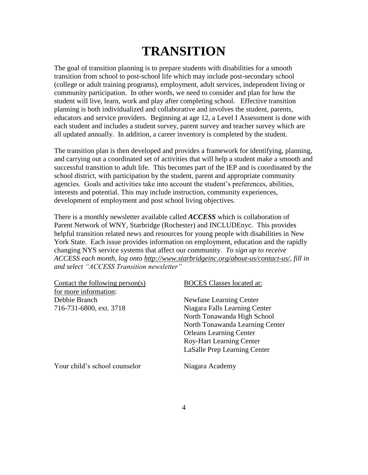# **TRANSITION**

The goal of transition planning is to prepare students with disabilities for a smooth transition from school to post-school life which may include post-secondary school (college or adult training programs), employment, adult services, independent living or community participation. In other words, we need to consider and plan for how the student will live, learn, work and play after completing school. Effective transition planning is both individualized and collaborative and involves the student, parents, educators and service providers. Beginning at age 12, a Level I Assessment is done with each student and includes a student survey, parent survey and teacher survey which are all updated annually. In addition, a career inventory is completed by the student.

The transition plan is then developed and provides a framework for identifying, planning, and carrying out a coordinated set of activities that will help a student make a smooth and successful transition to adult life. This becomes part of the IEP and is coordinated by the school district, with participation by the student, parent and appropriate community agencies. Goals and activities take into account the student's preferences, abilities, interests and potential. This may include instruction, community experiences, development of employment and post school living objectives.

There is a monthly newsletter available called *ACCESS* which is collaboration of Parent Network of WNY, Starbridge (Rochester) and INCLUDEnyc. This provides helpful transition related news and resources for young people with disabilities in New York State. Each issue provides information on employment, education and the rapidly changing NYS service systems that affect our community. *To sign up to receive ACCESS each month, log onto [http://www.starbridgeinc.org/about-us/contact-us/,](http://www.starbridgeinc.org/about-us/contact-us/) fill in and select "ACCESS Transition newsletter"*

| Contact the following person $(s)$ | <b>BOCES</b> Classes located at: |
|------------------------------------|----------------------------------|
| for more information:              |                                  |
| Debbie Branch                      | Newfane Learning Center          |
| 716-731-6800, ext. 3718            | Niagara Falls Learning Center    |
|                                    | North Tonawanda High School      |
|                                    | North Tonawanda Learning Center  |
|                                    | <b>Orleans Learning Center</b>   |
|                                    | <b>Roy-Hart Learning Center</b>  |
|                                    | LaSalle Prep Learning Center     |
| Your child's school counselor      | Niagara Academy                  |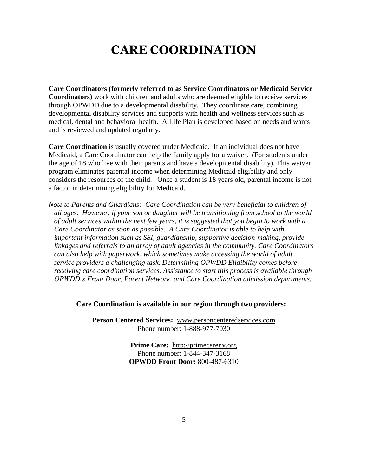## **CARE COORDINATION**

**Care Coordinators (formerly referred to as Service Coordinators or Medicaid Service Coordinators)** work with children and adults who are deemed eligible to receive services through OPWDD due to a developmental disability. They coordinate care, combining developmental disability services and supports with health and wellness services such as medical, dental and behavioral health. A Life Plan is developed based on needs and wants and is reviewed and updated regularly.

**Care Coordination** is usually covered under Medicaid. If an individual does not have Medicaid, a Care Coordinator can help the family apply for a waiver. (For students under the age of 18 who live with their parents and have a developmental disability). This waiver program eliminates parental income when determining Medicaid eligibility and only considers the resources of the child. Once a student is 18 years old, parental income is not a factor in determining eligibility for Medicaid.

*Note to Parents and Guardians: Care Coordination can be very beneficial to children of all ages. However, if your son or daughter will be transitioning from school to the world of adult services within the next few years, it is suggested that you begin to work with a Care Coordinator as soon as possible. A Care Coordinator is able to help with important information such as SSI, guardianship, supportive decision-making, provide linkages and referrals to an array of adult agencies in the community. Care Coordinators can also help with paperwork, which sometimes make accessing the world of adult service providers a challenging task. Determining OPWDD Eligibility comes before receiving care coordination services. Assistance to start this process is available through OPWDD's Front Door, Parent Network, and Care Coordination admission departments.* 

#### **Care Coordination is available in our region through two providers:**

**Person Centered Services:** [www.personcenteredservices.com](http://www.personcenteredservices.com/) Phone number: 1-888-977-7030

> **Prime Care:** [http://primecareny.org](http://primecareny.org/) Phone number: 1-844-347-3168 **OPWDD Front Door:** 800-487-6310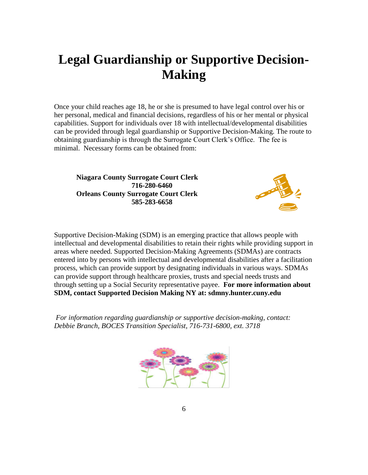## **Legal Guardianship or Supportive Decision-Making**

Once your child reaches age 18, he or she is presumed to have legal control over his or her personal, medical and financial decisions, regardless of his or her mental or physical capabilities. Support for individuals over 18 with intellectual/developmental disabilities can be provided through legal guardianship or Supportive Decision-Making. The route to obtaining guardianship is through the Surrogate Court Clerk's Office. The fee is minimal. Necessary forms can be obtained from:

**Niagara County Surrogate Court Clerk 716-280-6460 Orleans County Surrogate Court Clerk 585-283-6658**



Supportive Decision-Making (SDM) is an emerging practice that allows people with intellectual and developmental disabilities to retain their rights while providing support in areas where needed. Supported Decision-Making Agreements (SDMAs) are contracts entered into by persons with intellectual and developmental disabilities after a facilitation process, which can provide support by designating individuals in various ways. SDMAs can provide support through healthcare proxies, trusts and special needs trusts and through setting up a Social Security representative payee. **For more information about SDM, contact Supported Decision Making NY at: sdmny.hunter.cuny.edu** 

*For information regarding guardianship or supportive decision-making, contact: Debbie Branch, BOCES Transition Specialist, 716-731-6800, ext. 3718* 

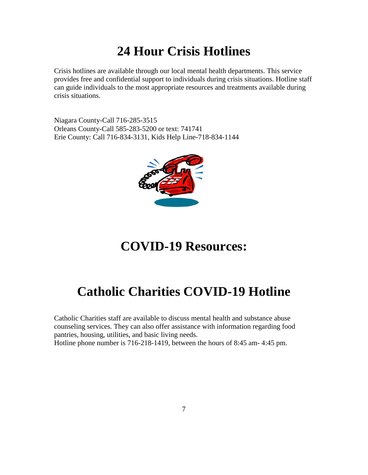## **24 Hour Crisis Hotlines**

Crisis hotlines are available through our local mental health departments. This service provides free and confidential support to individuals during crisis situations. Hotline staff can guide individuals to the most appropriate resources and treatments available during crisis situations.

Niagara County-Call 716-285-3515 Orleans County-Call 585-283-5200 or text: 741741 Erie County: Call 716-834-3131, Kids Help Line-718-834-1144



## **COVID-19 Resources:**

# **Catholic Charities COVID-19 Hotline**

Catholic Charities staff are available to discuss mental health and substance abuse counseling services. They can also offer assistance with information regarding food pantries, housing, utilities, and basic living needs.

Hotline phone number is 716-218-1419, between the hours of 8:45 am- 4:45 pm.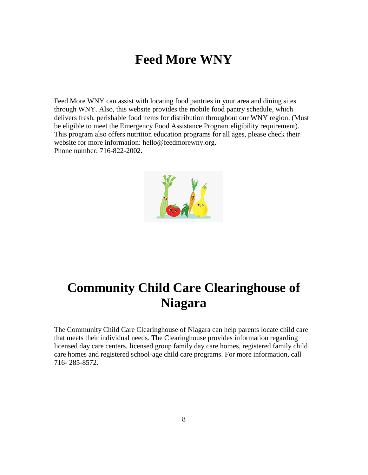## **Feed More WNY**

Feed More WNY can assist with locating food pantries in your area and dining sites through WNY. Also, this website provides the mobile food pantry schedule, which delivers fresh, perishable food items for distribution throughout our WNY region. (Must be eligible to meet the Emergency Food Assistance Program eligibility requirement). This program also offers nutrition education programs for all ages, please check their website for more information: [hello@feedmorewny.org.](mailto:hello@feedmorewny.org) Phone number: 716-822-2002.



## **Community Child Care Clearinghouse of Niagara**

The Community Child Care Clearinghouse of Niagara can help parents locate child care that meets their individual needs. The Clearinghouse provides information regarding licensed day care centers, licensed group family day care homes, registered family child care homes and registered school-age child care programs. For more information, call 716- 285-8572.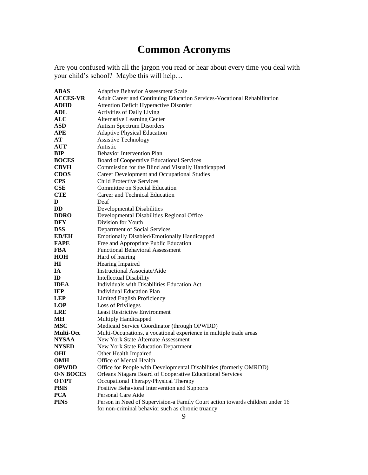## **Common Acronyms**

Are you confused with all the jargon you read or hear about every time you deal with your child's school? Maybe this will help…

| ABAS             | <b>Adaptive Behavior Assessment Scale</b>                                     |
|------------------|-------------------------------------------------------------------------------|
| <b>ACCES-VR</b>  | Adult Career and Continuing Education Services-Vocational Rehabilitation      |
| <b>ADHD</b>      | <b>Attention Deficit Hyperactive Disorder</b>                                 |
| ADL              | <b>Activities of Daily Living</b>                                             |
| $\bf ALC$        | <b>Alternative Learning Center</b>                                            |
| ASD              | <b>Autism Spectrum Disorders</b>                                              |
| APE              | <b>Adaptive Physical Education</b>                                            |
| AТ               | <b>Assistive Technology</b>                                                   |
| <b>AUT</b>       | Autistic                                                                      |
| BIP              | <b>Behavior Intervention Plan</b>                                             |
| <b>BOCES</b>     | Board of Cooperative Educational Services                                     |
| <b>CBVH</b>      | Commission for the Blind and Visually Handicapped                             |
| <b>CDOS</b>      | Career Development and Occupational Studies                                   |
| <b>CPS</b>       | <b>Child Protective Services</b>                                              |
| CSE              | Committee on Special Education                                                |
| <b>CTE</b>       | Career and Technical Education                                                |
| D                | Deaf                                                                          |
| DD               | Developmental Disabilities                                                    |
| <b>DDRO</b>      | Developmental Disabilities Regional Office                                    |
| DFY              | Division for Youth                                                            |
| DSS              | Department of Social Services                                                 |
| <b>ED/EH</b>     | Emotionally Disabled/Emotionally Handicapped                                  |
| <b>FAPE</b>      | Free and Appropriate Public Education                                         |
| FBA              | <b>Functional Behavioral Assessment</b>                                       |
| HOH              | Hard of hearing                                                               |
| HІ               | Hearing Impaired                                                              |
| IA               | <b>Instructional Associate/Aide</b>                                           |
| ID               | Intellectual Disability                                                       |
| IDEA             | Individuals with Disabilities Education Act                                   |
| IEP              | <b>Individual Education Plan</b>                                              |
| LEP              | Limited English Proficiency                                                   |
| LOP              | <b>Loss of Privileges</b>                                                     |
| LRE              | <b>Least Restrictive Environment</b>                                          |
| MН               | Multiply Handicapped                                                          |
| MSC              | Medicaid Service Coordinator (through OPWDD)                                  |
| <b>Multi-Occ</b> | Multi-Occupations, a vocational experience in multiple trade areas            |
| NYSAA            | New York State Alternate Assessment                                           |
| <b>NYSED</b>     | New York State Education Department                                           |
| OHI              | Other Health Impaired                                                         |
| OMH              | Office of Mental Health                                                       |
| <b>OPWDD</b>     | Office for People with Developmental Disabilities (formerly OMRDD)            |
| <b>O/N BOCES</b> | Orleans Niagara Board of Cooperative Educational Services                     |
| OT/PT            | Occupational Therapy/Physical Therapy                                         |
| PBIS             | Positive Behavioral Intervention and Supports                                 |
| <b>PCA</b>       | Personal Care Aide                                                            |
| <b>PINS</b>      | Person in Need of Supervision-a Family Court action towards children under 16 |
|                  | for non-criminal behavior such as chronic truancy                             |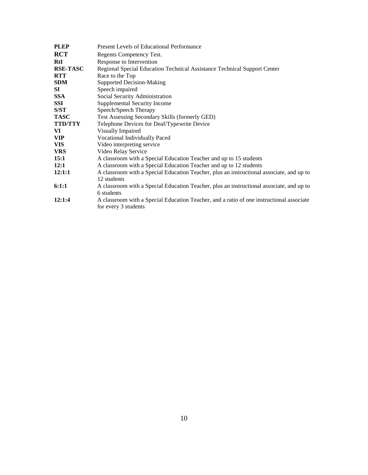| <b>PLEP</b>     | <b>Present Levels of Educational Performance</b>                                                                 |
|-----------------|------------------------------------------------------------------------------------------------------------------|
| <b>RCT</b>      | Regents Competency Test.                                                                                         |
| RtI             | Response to Intervention                                                                                         |
| <b>RSE-TASC</b> | Regional Special Education Technical Assistance Technical Support Center                                         |
| RTT             | Race to the Top                                                                                                  |
| <b>SDM</b>      | <b>Supported Decision-Making</b>                                                                                 |
| SI              | Speech impaired                                                                                                  |
| <b>SSA</b>      | Social Security Administration                                                                                   |
| SSI             | Supplemental Security Income                                                                                     |
| S/ST            | Speech/Speech Therapy                                                                                            |
| TASC            | Test Assessing Secondary Skills (formerly GED)                                                                   |
| <b>TTD/TTY</b>  | Telephone Devices for Deaf/Typewrite Device                                                                      |
| VI              | Visually Impaired                                                                                                |
| VIP             | Vocational Individually Paced                                                                                    |
| VIS             | Video interpreting service                                                                                       |
| <b>VRS</b>      | Video Relay Service                                                                                              |
| 15:1            | A classroom with a Special Education Teacher and up to 15 students                                               |
| 12:1            | A classroom with a Special Education Teacher and up to 12 students                                               |
| 12:1:1          | A classroom with a Special Education Teacher, plus an instructional associate, and up to<br>12 students          |
| 6:1:1           | A classroom with a Special Education Teacher, plus an instructional associate, and up to<br>6 students           |
| 12:1:4          | A classroom with a Special Education Teacher, and a ratio of one instructional associate<br>for every 3 students |
|                 |                                                                                                                  |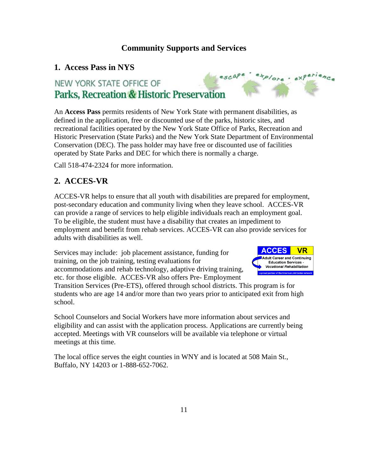#### **Community Supports and Services**

#### **1. Access Pass in NYS**

## escape explore · experience NEW YORK STATE OFFICE OF Parks, Recreation & Historic Preservation

An **Access Pass** permits residents of New York State with permanent disabilities, as defined in the application, free or discounted use of the parks, historic sites, and recreational facilities operated by the New York State Office of Parks, Recreation and Historic Preservation (State Parks) and the New York State Department of Environmental Conservation (DEC). The pass holder may have free or discounted use of facilities operated by State Parks and DEC for which there is normally a charge.

Call 518-474-2324 for more information.

## **2. ACCES-VR**

ACCES-VR helps to ensure that all youth with disabilities are prepared for employment, post-secondary education and community living when they leave school. ACCES-VR can provide a range of services to help eligible individuals reach an employment goal. To be eligible, the student must have a disability that creates an impediment to employment and benefit from rehab services. ACCES-VR can also provide services for adults with disabilities as well.

Services may include: job placement assistance, funding for training, on the job training, testing evaluations for accommodations and rehab technology, adaptive driving training, etc. for those eligible. ACCES-VR also offers Pre- Employment



Transition Services (Pre-ETS), offered through school districts. This program is for students who are age 14 and/or more than two years prior to anticipated exit from high school.

School Counselors and Social Workers have more information about services and eligibility and can assist with the application process. Applications are currently being accepted. Meetings with VR counselors will be available via telephone or virtual meetings at this time.

The local office serves the eight counties in WNY and is located at 508 Main St., Buffalo, NY 14203 or 1-888-652-7062.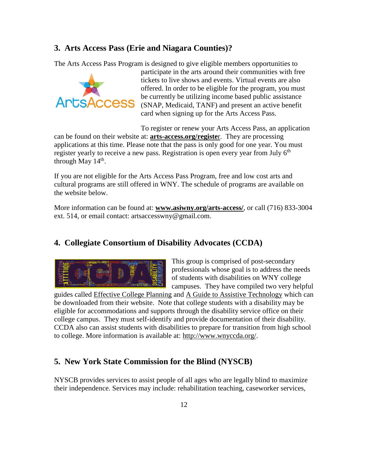#### **3. Arts Access Pass (Erie and Niagara Counties)?**

The Arts Access Pass Program is designed to give eligible members opportunities to



participate in the arts around their communities with free tickets to live shows and events. Virtual events are also offered. In order to be eligible for the program, you must be currently be utilizing income based public assistance (SNAP, Medicaid, TANF) and present an active benefit card when signing up for the Arts Access Pass.

To register or renew your Arts Access Pass, an application can be found on their website at: **arts-access.org/registe**r. They are processing applications at this time. Please note that the pass is only good for one year. You must register yearly to receive a new pass. Registration is open every year from July  $6<sup>th</sup>$ through May  $14<sup>th</sup>$ .

If you are not eligible for the Arts Access Pass Program, free and low cost arts and cultural programs are still offered in WNY. The schedule of programs are available on the website below.

More information can be found at: **[www.asiwny.org/arts-access/](http://www.asiwny.org/arts-access/)**, or call (716) 833-3004 ext. 514, or email contact: [artsaccesswny@gmail.com.](mailto:artsaccesswny@gmail.com)

#### **4. Collegiate Consortium of Disability Advocates (CCDA)**



This group is comprised of post-secondary professionals whose goal is to address the needs of students with disabilities on WNY college campuses. They have compiled two very helpful

guides called Effective College Planning and A Guide to Assistive Technology which can be downloaded from their website. Note that college students with a disability may be eligible for accommodations and supports through the disability service office on their college campus. They must self-identify and provide documentation of their disability. CCDA also can assist students with disabilities to prepare for transition from high school to college. More information is available at: [http://www.wnyccda.org/.](http://www.wnyccda.org/)

#### **5. New York State Commission for the Blind (NYSCB)**

NYSCB provides services to assist people of all ages who are legally blind to maximize their independence. Services may include: rehabilitation teaching, caseworker services,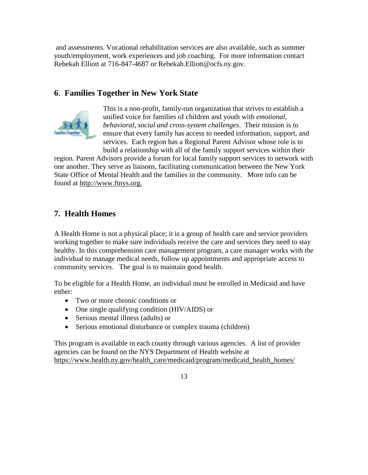and assessments. Vocational rehabilitation services are also available, such as summer youth/employment, work experiences and job coaching. For more information contact Rebekah Elliott at 716-847-4687 or Rebekah.Elliott@ocfs.ny.gov.

### **6**. **Families Together in New York State**



This is a non-profit, family-run organization that strives to establish a unified voice for families of children and youth with *emotional, behavioral, social and cross-system challenges*. Their mission is to ensure that every family has access to needed information, support, and services. Each region has a Regional Parent Advisor whose role is to build a relationship with all of the family support services within their

region. Parent Advisors provide a forum for local family support services to network with one another. They serve as liaisons, facilitating communication between the New York State Office of Mental Health and the families in the community. More info can be found at http://www.ftnys.org.

## **7. Health Homes**

A Health Home is not a physical place; it is a group of health care and service providers working together to make sure individuals receive the care and services they need to stay healthy. In this comprehension care management program, a care manager works with the individual to manage medical needs, follow up appointments and appropriate access to community services. The goal is to maintain good health.

To be eligible for a Health Home, an individual must be enrolled in Medicaid and have either:

- Two or more chronic conditions or
- One single qualifying condition (HIV/AIDS) or
- Serious mental illness (adults) or
- Serious emotional disturbance or complex trauma (children)

This program is available in each county through various agencies. A list of provider agencies can be found on the NYS Department of Health website at [https://www.health.ny.gov/health\\_care/medicaid/program/medicaid\\_health\\_homes/](https://www.health.ny.gov/health_care/medicaid/program/medicaid_health_homes/)

13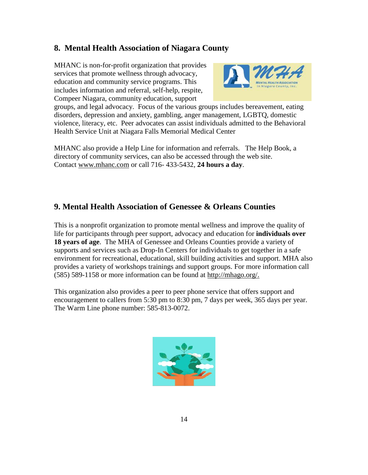#### **8. Mental Health Association of Niagara County**

MHANC is non-for-profit organization that provides services that promote wellness through advocacy, education and community service programs. This includes information and referral, self-help, respite, Compeer Niagara, community education, support



groups, and legal advocacy. Focus of the various groups includes bereavement, eating disorders, depression and anxiety, gambling, anger management, LGBTQ, domestic violence, literacy, etc. Peer advocates can assist individuals admitted to the Behavioral Health Service Unit at Niagara Falls Memorial Medical Center

MHANC also provide a Help Line for information and referrals. The Help Book, a directory of community services, can also be accessed through the web site. Contact [www.mhanc.com](http://www.mhanc.com/) or call 716- 433-5432, **24 hours a day**.

#### **9. Mental Health Association of Genessee & Orleans Counties**

This is a nonprofit organization to promote mental wellness and improve the quality of life for participants through peer support, advocacy and education for **individuals over 18 years of age**. The MHA of Genessee and Orleans Counties provide a variety of supports and services such as Drop-In Centers for individuals to get together in a safe environment for recreational, educational, skill building activities and support. MHA also provides a variety of workshops trainings and support groups. For more information call (585) 589-1158 or more information can be found at http://mhago.org/.

This organization also provides a peer to peer phone service that offers support and encouragement to callers from 5:30 pm to 8:30 pm, 7 days per week, 365 days per year. The Warm Line phone number: 585-813-0072.

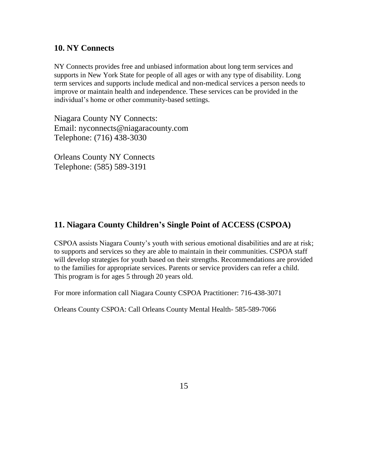#### **10. NY Connects**

NY Connects provides free and unbiased information about long term services and supports in New York State for people of all ages or with any type of disability. Long term services and supports include medical and non-medical services a person needs to improve or maintain health and independence. These services can be provided in the individual's home or other community-based settings.

Niagara County NY Connects: Email: nyconnects@niagaracounty.com Telephone: (716) 438-3030

Orleans County NY Connects Telephone: (585) 589-3191

#### **11. Niagara County Children's Single Point of ACCESS (CSPOA)**

CSPOA assists Niagara County's youth with serious emotional disabilities and are at risk; to supports and services so they are able to maintain in their communities. CSPOA staff will develop strategies for youth based on their strengths. Recommendations are provided to the families for appropriate services. Parents or service providers can refer a child. This program is for ages 5 through 20 years old.

For more information call Niagara County CSPOA Practitioner: 716-438-3071

Orleans County CSPOA: Call Orleans County Mental Health- 585-589-7066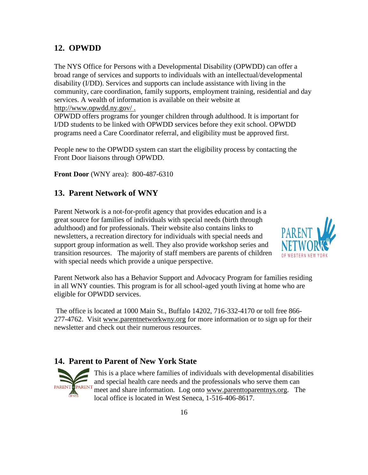#### **12. OPWDD**

The NYS Office for Persons with a Developmental Disability (OPWDD) can offer a broad range of services and supports to individuals with an intellectual/developmental disability (I/DD). Services and supports can include assistance with living in the community, care coordination, family supports, employment training, residential and day services. A wealth of information is available on their website at <http://www.opwdd.ny.gov/> .

OPWDD offers programs for younger children through adulthood. It is important for I/DD students to be linked with OPWDD services before they exit school. OPWDD programs need a Care Coordinator referral, and eligibility must be approved first.

People new to the OPWDD system can start the eligibility process by contacting the Front Door liaisons through OPWDD.

**Front Door** (WNY area): 800-487-6310

#### **13. Parent Network of WNY**

Parent Network is a not-for-profit agency that provides education and is a great source for families of individuals with special needs (birth through adulthood) and for professionals. Their website also contains links to newsletters, a recreation directory for individuals with special needs and support group information as well. They also provide workshop series and transition resources. The majority of staff members are parents of children with special needs which provide a unique perspective.



Parent Network also has a Behavior Support and Advocacy Program for families residing in all WNY counties. This program is for all school-aged youth living at home who are eligible for OPWDD services.

The office is located at 1000 Main St., Buffalo 14202, 716-332-4170 or toll free 866- 277-4762. Visit [www.parentnetworkwny.org](http://www.parentnetworkwny.org/) for more information or to sign up for their newsletter and check out their numerous resources.

#### **14. Parent to Parent of New York State**



This is a place where families of individuals with developmental disabilities and special health care needs and the professionals who serve them can meet and share information. Log onto [www.parenttoparentnys.org.](http://www.parenttoparentnys.org/) The local office is located in West Seneca, 1-516-406-8617.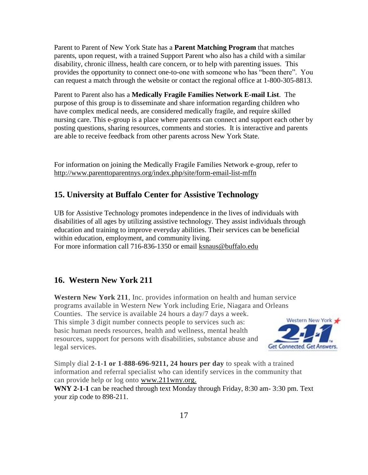Parent to Parent of New York State has a **Parent Matching Program** that matches parents, upon request, with a trained Support Parent who also has a child with a similar disability, chronic illness, health care concern, or to help with parenting issues. This provides the opportunity to connect one-to-one with someone who has "been there". You can request a match through the website or contact the regional office at 1-800-305-8813.

Parent to Parent also has a **Medically Fragile Families Network E-mail List**. The purpose of this group is to disseminate and share information regarding children who have complex medical needs, are considered medically fragile, and require skilled nursing care. This e-group is a place where parents can connect and support each other by posting questions, sharing resources, comments and stories. It is interactive and parents are able to receive feedback from other parents across New York State.

For information on joining the Medically Fragile Families Network e-group, refer to <http://www.parenttoparentnys.org/index.php/site/form-email-list-mffn>

#### **15. University at Buffalo Center for Assistive Technology**

UB for Assistive Technology promotes independence in the lives of individuals with disabilities of all ages by utilizing assistive technology. They assist individuals through education and training to improve everyday abilities. Their services can be beneficial within education, employment, and community living. For more information call 716-836-1350 or email [ksnaus@buffalo.edu](mailto:ksnaus@buffalo.edu)

#### **16. Western New York 211**

**Western New York 211**, Inc. provides information on health and human service programs available in Western New York including Erie, Niagara and Orleans Counties. The service is available 24 hours a day/7 days a week. This simple 3 digit number connects people to services such as: basic human needs resources, health and wellness, mental health resources, support for persons with disabilities, substance abuse and legal services.



Simply dial **2-1-1 or 1-888-696-9211, 24 hours per day** to speak with a trained information and referral specialist who can identify services in the community that can provide help or log onto [www.211wny.org.](http://www.211wny.org/)

**WNY 2-1-1** can be reached through text Monday through Friday, 8:30 am- 3:30 pm. Text your zip code to 898-211.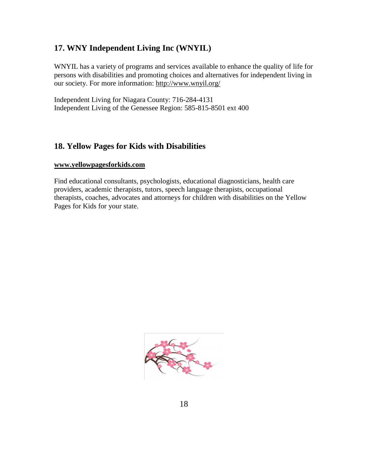#### **17. WNY Independent Living Inc (WNYIL)**

WNYIL has a variety of programs and services available to enhance the quality of life for persons with disabilities and promoting choices and alternatives for independent living in our society. For more information:<http://www.wnyil.org/>

Independent Living for Niagara County: 716-284-4131 Independent Living of the Genessee Region: 585-815-8501 ext 400

#### **18. Yellow Pages for Kids with Disabilities**

#### **[www.yellowpagesforkids.com](http://www.yellowpagesforkids.com/)**

Find educational consultants, psychologists, educational diagnosticians, health care providers, academic therapists, tutors, speech language therapists, occupational therapists, coaches, advocates and attorneys for children with disabilities on the Yellow Pages for Kids for your state.